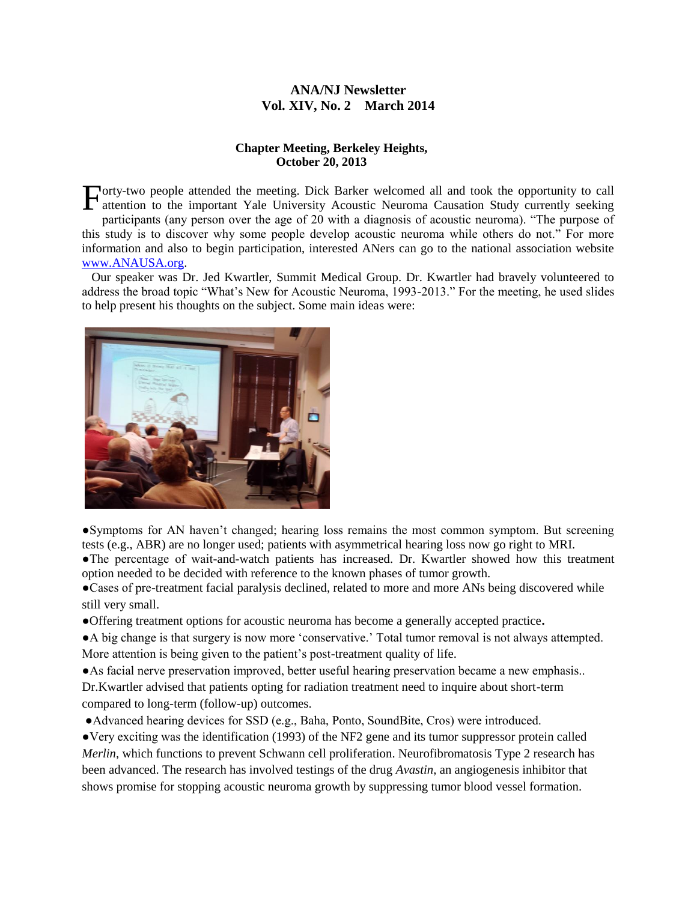# **ANA/NJ Newsletter Vol. XIV, No. 2 March 2014**

#### **Chapter Meeting, Berkeley Heights, October 20, 2013**

Forty-two people attended the meeting. Dick Barker welcomed all and took the opportunity to call attention to the important Yale University Acoustic Neuroma Causation Study currently seeking attention to the important Yale University Acoustic Neuroma Causation Study currently seeking participants (any person over the age of 20 with a diagnosis of acoustic neuroma). "The purpose of this study is to discover why some people develop acoustic neuroma while others do not." For more information and also to begin participation, interested ANers can go to the national association website [www.ANAUSA.org.](http://www.anausa.org/)

 Our speaker was Dr. Jed Kwartler, Summit Medical Group. Dr. Kwartler had bravely volunteered to address the broad topic "What's New for Acoustic Neuroma, 1993-2013." For the meeting, he used slides to help present his thoughts on the subject. Some main ideas were:



●Symptoms for AN haven't changed; hearing loss remains the most common symptom. But screening tests (e.g., ABR) are no longer used; patients with asymmetrical hearing loss now go right to MRI. ●The percentage of wait-and-watch patients has increased. Dr. Kwartler showed how this treatment

option needed to be decided with reference to the known phases of tumor growth.

●Cases of pre-treatment facial paralysis declined, related to more and more ANs being discovered while still very small.

**●**Offering treatment options for acoustic neuroma has become a generally accepted practice**.** 

●A big change is that surgery is now more 'conservative.' Total tumor removal is not always attempted. More attention is being given to the patient's post-treatment quality of life.

●As facial nerve preservation improved, better useful hearing preservation became a new emphasis.. Dr.Kwartler advised that patients opting for radiation treatment need to inquire about short-term compared to long-term (follow-up) outcomes.

●Advanced hearing devices for SSD (e.g., Baha, Ponto, SoundBite, Cros) were introduced.

●Very exciting was the identification (1993) of the NF2 gene and its tumor suppressor protein called *Merlin*, which functions to prevent Schwann cell proliferation. Neurofibromatosis Type 2 research has been advanced. The research has involved testings of the drug *Avastin*, an angiogenesis inhibitor that shows promise for stopping acoustic neuroma growth by suppressing tumor blood vessel formation.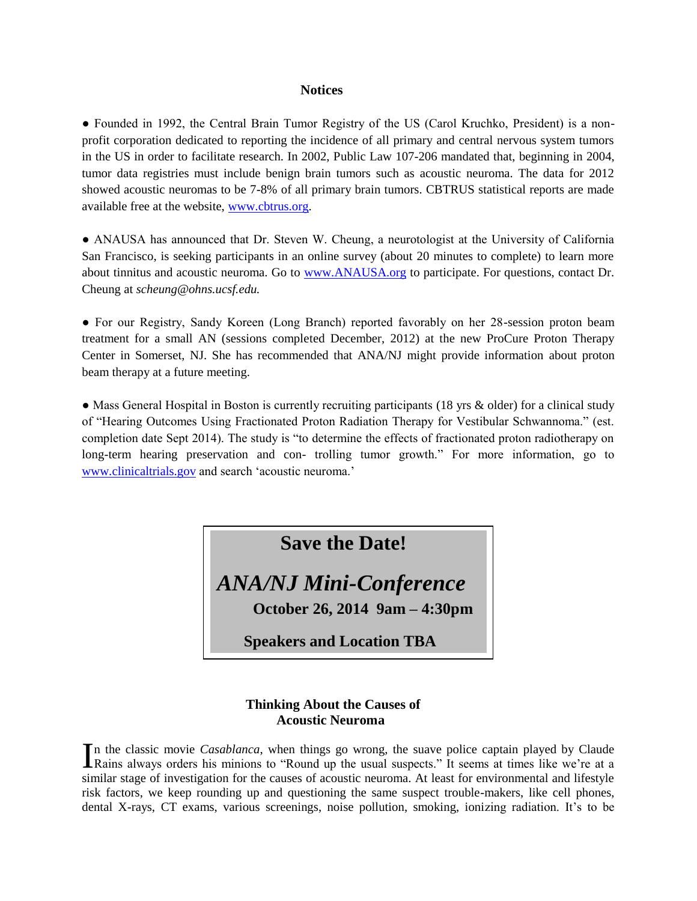#### **Notices**

• Founded in 1992, the Central Brain Tumor Registry of the US (Carol Kruchko, President) is a nonprofit corporation dedicated to reporting the incidence of all primary and central nervous system tumors in the US in order to facilitate research. In 2002, Public Law 107-206 mandated that, beginning in 2004, tumor data registries must include benign brain tumors such as acoustic neuroma. The data for 2012 showed acoustic neuromas to be 7-8% of all primary brain tumors. CBTRUS statistical reports are made available free at the website, [www.cbtrus.org.](http://www.cbtrus.org/)

• ANAUSA has announced that Dr. Steven W. Cheung, a neurotologist at the University of California San Francisco, is seeking participants in an online survey (about 20 minutes to complete) to learn more about tinnitus and acoustic neuroma. Go to [www.ANAUSA.org](http://www.anausa.org/) to participate. For questions, contact Dr. Cheung at *scheung@ohns.ucsf.edu.*

● For our Registry, Sandy Koreen (Long Branch) reported favorably on her 28-session proton beam treatment for a small AN (sessions completed December, 2012) at the new ProCure Proton Therapy Center in Somerset, NJ. She has recommended that ANA/NJ might provide information about proton beam therapy at a future meeting.

• Mass General Hospital in Boston is currently recruiting participants (18 yrs & older) for a clinical study of "Hearing Outcomes Using Fractionated Proton Radiation Therapy for Vestibular Schwannoma." (est. completion date Sept 2014). The study is "to determine the effects of fractionated proton radiotherapy on long-term hearing preservation and con- trolling tumor growth." For more information, go to [www.clinicaltrials.gov](http://www.clinicaltrials.gov/) and search 'acoustic neuroma.'

**Save the Date!**

*ANA/NJ Mini-Conference* 

**October 26, 2014 9am – 4:30pm**

 **Speakers and Location TBA**

# **Thinking About the Causes of Acoustic Neuroma**

n the classic movie *Casablanca*, when things go wrong, the suave police captain played by Claude In the classic movie *Casablanca*, when things go wrong, the suave police captain played by Claude Rains always orders his minions to "Round up the usual suspects." It seems at times like we're at a similar stage of investigation for the causes of acoustic neuroma. At least for environmental and lifestyle risk factors, we keep rounding up and questioning the same suspect trouble-makers, like cell phones, dental X-rays, CT exams, various screenings, noise pollution, smoking, ionizing radiation. It's to be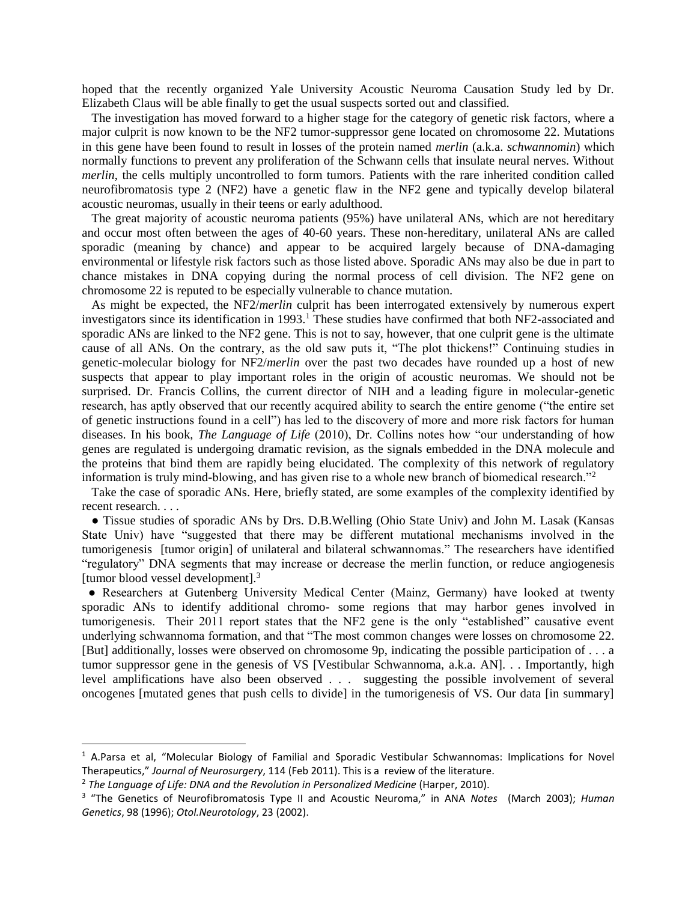hoped that the recently organized Yale University Acoustic Neuroma Causation Study led by Dr. Elizabeth Claus will be able finally to get the usual suspects sorted out and classified.

 The investigation has moved forward to a higher stage for the category of genetic risk factors, where a major culprit is now known to be the NF2 tumor-suppressor gene located on chromosome 22. Mutations in this gene have been found to result in losses of the protein named *merlin* (a.k.a. *schwannomin*) which normally functions to prevent any proliferation of the Schwann cells that insulate neural nerves. Without *merlin*, the cells multiply uncontrolled to form tumors. Patients with the rare inherited condition called neurofibromatosis type 2 (NF2) have a genetic flaw in the NF2 gene and typically develop bilateral acoustic neuromas, usually in their teens or early adulthood.

 The great majority of acoustic neuroma patients (95%) have unilateral ANs, which are not hereditary and occur most often between the ages of 40-60 years. These non-hereditary, unilateral ANs are called sporadic (meaning by chance) and appear to be acquired largely because of DNA-damaging environmental or lifestyle risk factors such as those listed above. Sporadic ANs may also be due in part to chance mistakes in DNA copying during the normal process of cell division. The NF2 gene on chromosome 22 is reputed to be especially vulnerable to chance mutation.

 As might be expected, the NF2/*merlin* culprit has been interrogated extensively by numerous expert investigators since its identification in 1993.<sup>1</sup> These studies have confirmed that both NF2-associated and sporadic ANs are linked to the NF2 gene. This is not to say, however, that one culprit gene is the ultimate cause of all ANs. On the contrary, as the old saw puts it, "The plot thickens!" Continuing studies in genetic-molecular biology for NF2/*merlin* over the past two decades have rounded up a host of new suspects that appear to play important roles in the origin of acoustic neuromas. We should not be surprised. Dr. Francis Collins, the current director of NIH and a leading figure in molecular-genetic research, has aptly observed that our recently acquired ability to search the entire genome ("the entire set of genetic instructions found in a cell") has led to the discovery of more and more risk factors for human diseases. In his book, *The Language of Life* (2010), Dr. Collins notes how "our understanding of how genes are regulated is undergoing dramatic revision, as the signals embedded in the DNA molecule and the proteins that bind them are rapidly being elucidated. The complexity of this network of regulatory information is truly mind-blowing, and has given rise to a whole new branch of biomedical research."<sup>2</sup>

 Take the case of sporadic ANs. Here, briefly stated, are some examples of the complexity identified by recent research. . . .

 ● Tissue studies of sporadic ANs by Drs. D.B.Welling (Ohio State Univ) and John M. Lasak (Kansas State Univ) have "suggested that there may be different mutational mechanisms involved in the tumorigenesis [tumor origin] of unilateral and bilateral schwannomas." The researchers have identified "regulatory" DNA segments that may increase or decrease the merlin function, or reduce angiogenesis [tumor blood vessel development].<sup>3</sup>

 ● Researchers at Gutenberg University Medical Center (Mainz, Germany) have looked at twenty sporadic ANs to identify additional chromo- some regions that may harbor genes involved in tumorigenesis. Their 2011 report states that the NF2 gene is the only "established" causative event underlying schwannoma formation, and that "The most common changes were losses on chromosome 22. [But] additionally, losses were observed on chromosome 9p, indicating the possible participation of . . . a tumor suppressor gene in the genesis of VS [Vestibular Schwannoma, a.k.a. AN]. . . Importantly, high level amplifications have also been observed . . . suggesting the possible involvement of several oncogenes [mutated genes that push cells to divide] in the tumorigenesis of VS. Our data [in summary]

l

<sup>1</sup> A.Parsa et al, "Molecular Biology of Familial and Sporadic Vestibular Schwannomas: Implications for Novel Therapeutics," *Journal of Neurosurgery*, 114 (Feb 2011). This is a review of the literature.

<sup>2</sup> *The Language of Life: DNA and the Revolution in Personalized Medicine* (Harper, 2010).

<sup>3</sup> "The Genetics of Neurofibromatosis Type II and Acoustic Neuroma," in ANA *Notes* (March 2003); *Human Genetics*, 98 (1996); *Otol.Neurotology*, 23 (2002).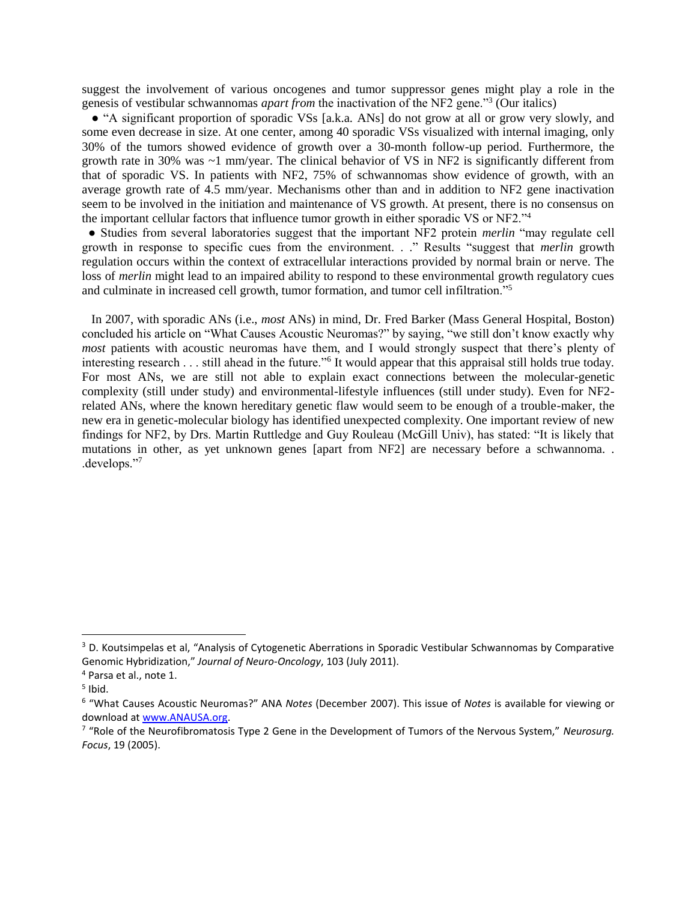suggest the involvement of various oncogenes and tumor suppressor genes might play a role in the genesis of vestibular schwannomas *apart from* the inactivation of the NF2 gene."<sup>3</sup> (Our italics)

 ● "A significant proportion of sporadic VSs [a.k.a. ANs] do not grow at all or grow very slowly, and some even decrease in size. At one center, among 40 sporadic VSs visualized with internal imaging, only 30% of the tumors showed evidence of growth over a 30-month follow-up period. Furthermore, the growth rate in 30% was ~1 mm/year. The clinical behavior of VS in NF2 is significantly different from that of sporadic VS. In patients with NF2, 75% of schwannomas show evidence of growth, with an average growth rate of 4.5 mm/year. Mechanisms other than and in addition to NF2 gene inactivation seem to be involved in the initiation and maintenance of VS growth. At present, there is no consensus on the important cellular factors that influence tumor growth in either sporadic VS or NF2."<sup>4</sup>

 ● Studies from several laboratories suggest that the important NF2 protein *merlin* "may regulate cell growth in response to specific cues from the environment. . ." Results "suggest that *merlin* growth regulation occurs within the context of extracellular interactions provided by normal brain or nerve. The loss of *merlin* might lead to an impaired ability to respond to these environmental growth regulatory cues and culminate in increased cell growth, tumor formation, and tumor cell infiltration."<sup>5</sup>

 In 2007, with sporadic ANs (i.e., *most* ANs) in mind, Dr. Fred Barker (Mass General Hospital, Boston) concluded his article on "What Causes Acoustic Neuromas?" by saying, "we still don't know exactly why *most* patients with acoustic neuromas have them, and I would strongly suspect that there's plenty of interesting research . . . still ahead in the future."<sup>6</sup> It would appear that this appraisal still holds true today. For most ANs, we are still not able to explain exact connections between the molecular-genetic complexity (still under study) and environmental-lifestyle influences (still under study). Even for NF2 related ANs, where the known hereditary genetic flaw would seem to be enough of a trouble-maker, the new era in genetic-molecular biology has identified unexpected complexity. One important review of new findings for NF2, by Drs. Martin Ruttledge and Guy Rouleau (McGill Univ), has stated: "It is likely that mutations in other, as yet unknown genes [apart from NF2] are necessary before a schwannoma. . .develops."<sup>7</sup>

l

<sup>&</sup>lt;sup>3</sup> D. Koutsimpelas et al, "Analysis of Cytogenetic Aberrations in Sporadic Vestibular Schwannomas by Comparative Genomic Hybridization," *Journal of Neuro-Oncology*, 103 (July 2011).

<sup>4</sup> Parsa et al., note 1.

<sup>&</sup>lt;sup>5</sup> Ibid.

<sup>6</sup> "What Causes Acoustic Neuromas?" ANA *Notes* (December 2007). This issue of *Notes* is available for viewing or download at [www.ANAUSA.org.](http://www.anausa.org/)

<sup>7</sup> "Role of the Neurofibromatosis Type 2 Gene in the Development of Tumors of the Nervous System," *Neurosurg. Focus*, 19 (2005).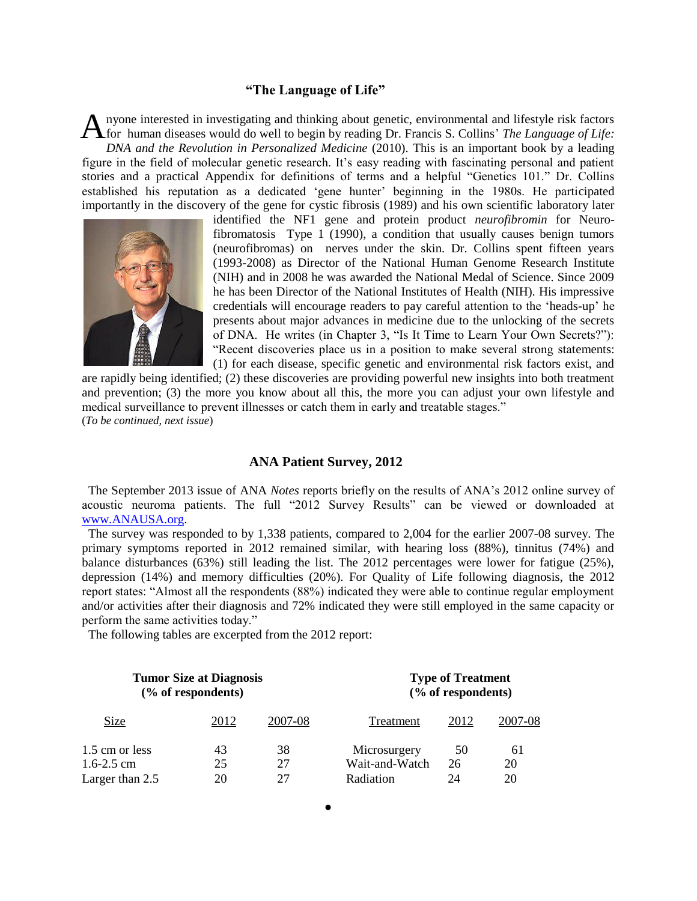#### **"The Language of Life"**

nyone interested in investigating and thinking about genetic, environmental and lifestyle risk factors A nyone interested in investigating and thinking about genetic, environmental and lifestyle risk factors for human diseases would do well to begin by reading Dr. Francis S. Collins' *The Language of Life*: *DNA and the Revolution in Personalized Medicine* (2010). This is an important book by a leading figure in the field of molecular genetic research. It's easy reading with fascinating personal and patient stories and a practical Appendix for definitions of terms and a helpful "Genetics 101." Dr. Collins established his reputation as a dedicated 'gene hunter' beginning in the 1980s. He participated importantly in the discovery of the gene for cystic fibrosis (1989) and his own scientific laboratory later



identified the NF1 gene and protein product *neurofibromin* for Neurofibromatosis Type 1 (1990), a condition that usually causes benign tumors (neurofibromas) on nerves under the skin. Dr. Collins spent fifteen years (1993-2008) as Director of the National Human Genome Research Institute (NIH) and in 2008 he was awarded the National Medal of Science. Since 2009 he has been Director of the National Institutes of Health (NIH). His impressive credentials will encourage readers to pay careful attention to the 'heads-up' he presents about major advances in medicine due to the unlocking of the secrets of DNA. He writes (in Chapter 3, "Is It Time to Learn Your Own Secrets?"): "Recent discoveries place us in a position to make several strong statements: (1) for each disease, specific genetic and environmental risk factors exist, and

are rapidly being identified; (2) these discoveries are providing powerful new insights into both treatment and prevention; (3) the more you know about all this, the more you can adjust your own lifestyle and medical surveillance to prevent illnesses or catch them in early and treatable stages." (*To be continued, next issue*)

#### **ANA Patient Survey, 2012**

 The September 2013 issue of ANA *Notes* reports briefly on the results of ANA's 2012 online survey of acoustic neuroma patients. The full "2012 Survey Results" can be viewed or downloaded at [www.ANAUSA.org.](http://www.anausa.org/)

 The survey was responded to by 1,338 patients, compared to 2,004 for the earlier 2007-08 survey. The primary symptoms reported in 2012 remained similar, with hearing loss (88%), tinnitus (74%) and balance disturbances (63%) still leading the list. The 2012 percentages were lower for fatigue (25%), depression (14%) and memory difficulties (20%). For Quality of Life following diagnosis, the 2012 report states: "Almost all the respondents (88%) indicated they were able to continue regular employment and/or activities after their diagnosis and 72% indicated they were still employed in the same capacity or perform the same activities today."

The following tables are excerpted from the 2012 report:

| <b>Tumor Size at Diagnosis</b><br>$(\%$ of respondents) |      |         | <b>Type of Treatment</b><br>(% of respondents) |      |         |
|---------------------------------------------------------|------|---------|------------------------------------------------|------|---------|
| Size                                                    | 2012 | 2007-08 | Treatment                                      | 2012 | 2007-08 |
| 1.5 cm or less                                          | 43   | 38      | Microsurgery                                   | 50   | 61      |
| $1.6 - 2.5$ cm                                          | 25   | 27      | Wait-and-Watch                                 | 26   | 20      |
| Larger than 2.5                                         | 20   | 27      | Radiation                                      | 24   | 20      |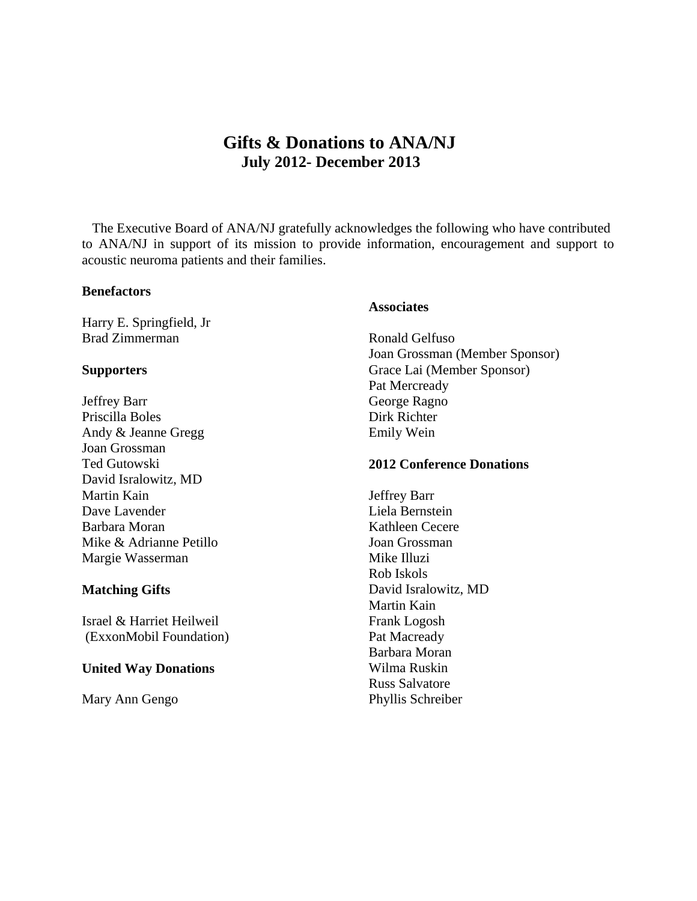# **Gifts & Donations to ANA/NJ July 2012- December 2013**

 The Executive Board of ANA/NJ gratefully acknowledges the following who have contributed to ANA/NJ in support of its mission to provide information, encouragement and support to acoustic neuroma patients and their families.

#### **Benefactors**

Harry E. Springfield, Jr Brad Zimmerman

#### **Supporters**

Jeffrey Barr Priscilla Boles Andy & Jeanne Gregg Joan Grossman Ted Gutowski David Isralowitz, MD Martin Kain Dave Lavender Barbara Moran Mike & Adrianne Petillo Margie Wasserman

# **Matching Gifts**

Israel & Harriet Heilweil (ExxonMobil Foundation)

# **United Way Donations**

Mary Ann Gengo

# **Associates**

Ronald Gelfuso Joan Grossman (Member Sponsor) Grace Lai (Member Sponsor) Pat Mercready George Ragno Dirk Richter Emily Wein

# **2012 Conference Donations**

Jeffrey Barr Liela Bernstein Kathleen Cecere Joan Grossman Mike Illuzi Rob Iskols David Isralowitz, MD Martin Kain Frank Logosh Pat Macready Barbara Moran Wilma Ruskin Russ Salvatore Phyllis Schreiber